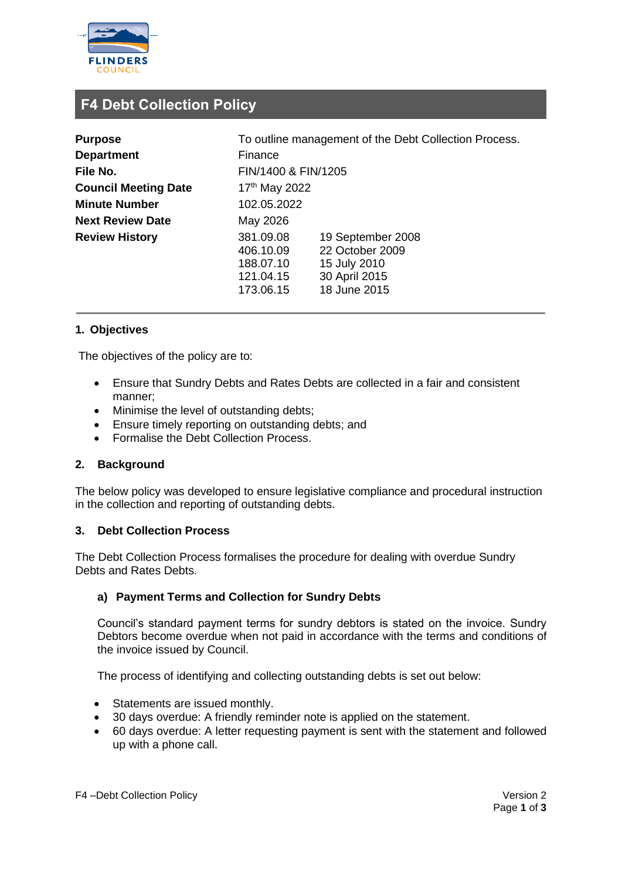

# **F4 Debt Collection Policy**

| <b>Purpose</b>              | To outline management of the Debt Collection Process.         |                                                                                       |
|-----------------------------|---------------------------------------------------------------|---------------------------------------------------------------------------------------|
| <b>Department</b>           | Finance                                                       |                                                                                       |
| File No.                    | FIN/1400 & FIN/1205                                           |                                                                                       |
| <b>Council Meeting Date</b> | 17 <sup>th</sup> May 2022                                     |                                                                                       |
| <b>Minute Number</b>        | 102.05.2022                                                   |                                                                                       |
| <b>Next Review Date</b>     | May 2026                                                      |                                                                                       |
| <b>Review History</b>       | 381.09.08<br>406.10.09<br>188.07.10<br>121.04.15<br>173.06.15 | 19 September 2008<br>22 October 2009<br>15 July 2010<br>30 April 2015<br>18 June 2015 |

# **1. Objectives**

The objectives of the policy are to:

- Ensure that Sundry Debts and Rates Debts are collected in a fair and consistent manner;
- Minimise the level of outstanding debts;
- Ensure timely reporting on outstanding debts; and
- Formalise the Debt Collection Process.

## **2. Background**

The below policy was developed to ensure legislative compliance and procedural instruction in the collection and reporting of outstanding debts.

#### **3. Debt Collection Process**

The Debt Collection Process formalises the procedure for dealing with overdue Sundry Debts and Rates Debts.

## **a) Payment Terms and Collection for Sundry Debts**

Council's standard payment terms for sundry debtors is stated on the invoice. Sundry Debtors become overdue when not paid in accordance with the terms and conditions of the invoice issued by Council.

The process of identifying and collecting outstanding debts is set out below:

- Statements are issued monthly.
- 30 days overdue: A friendly reminder note is applied on the statement.
- 60 days overdue: A letter requesting payment is sent with the statement and followed up with a phone call.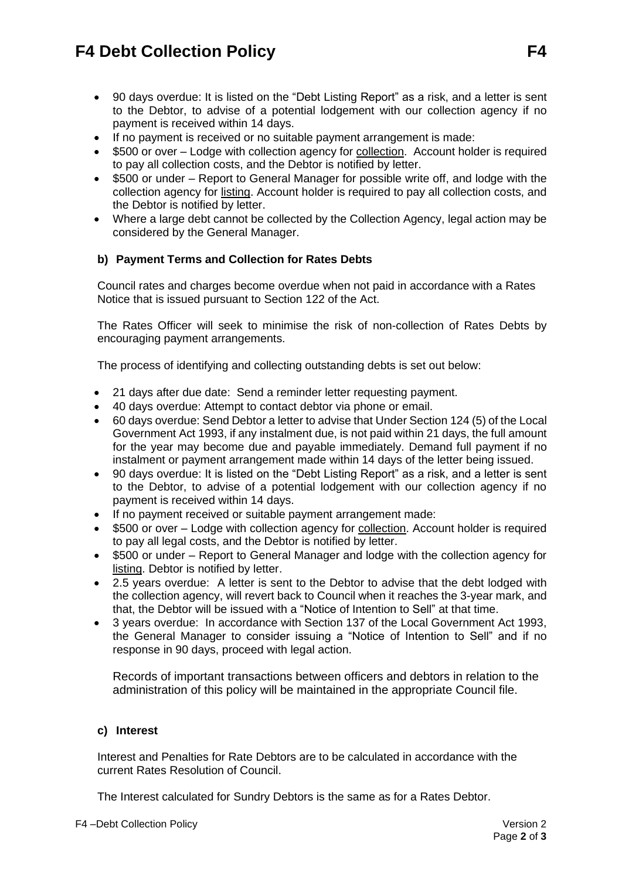# **F4 Debt Collection Policy F4**

- 90 days overdue: It is listed on the "Debt Listing Report" as a risk, and a letter is sent to the Debtor, to advise of a potential lodgement with our collection agency if no payment is received within 14 days.
- If no payment is received or no suitable payment arrangement is made:
- \$500 or over Lodge with collection agency for collection. Account holder is required to pay all collection costs, and the Debtor is notified by letter.
- \$500 or under Report to General Manager for possible write off, and lodge with the collection agency for listing. Account holder is required to pay all collection costs, and the Debtor is notified by letter.
- Where a large debt cannot be collected by the Collection Agency, legal action may be considered by the General Manager.

# **b) Payment Terms and Collection for Rates Debts**

Council rates and charges become overdue when not paid in accordance with a Rates Notice that is issued pursuant to Section 122 of the Act.

The Rates Officer will seek to minimise the risk of non-collection of Rates Debts by encouraging payment arrangements.

The process of identifying and collecting outstanding debts is set out below:

- 21 days after due date: Send a reminder letter requesting payment.
- 40 days overdue: Attempt to contact debtor via phone or email.
- 60 days overdue: Send Debtor a letter to advise that Under Section 124 (5) of the Local Government Act 1993, if any instalment due, is not paid within 21 days, the full amount for the year may become due and payable immediately. Demand full payment if no instalment or payment arrangement made within 14 days of the letter being issued.
- 90 days overdue: It is listed on the "Debt Listing Report" as a risk, and a letter is sent to the Debtor, to advise of a potential lodgement with our collection agency if no payment is received within 14 days.
- If no payment received or suitable payment arrangement made:
- \$500 or over Lodge with collection agency for collection. Account holder is required to pay all legal costs, and the Debtor is notified by letter.
- \$500 or under Report to General Manager and lodge with the collection agency for listing. Debtor is notified by letter.
- 2.5 years overdue: A letter is sent to the Debtor to advise that the debt lodged with the collection agency, will revert back to Council when it reaches the 3-year mark, and that, the Debtor will be issued with a "Notice of Intention to Sell" at that time.
- 3 years overdue: In accordance with Section 137 of the Local Government Act 1993, the General Manager to consider issuing a "Notice of Intention to Sell" and if no response in 90 days, proceed with legal action.

Records of important transactions between officers and debtors in relation to the administration of this policy will be maintained in the appropriate Council file.

## **c) Interest**

Interest and Penalties for Rate Debtors are to be calculated in accordance with the current Rates Resolution of Council.

The Interest calculated for Sundry Debtors is the same as for a Rates Debtor.